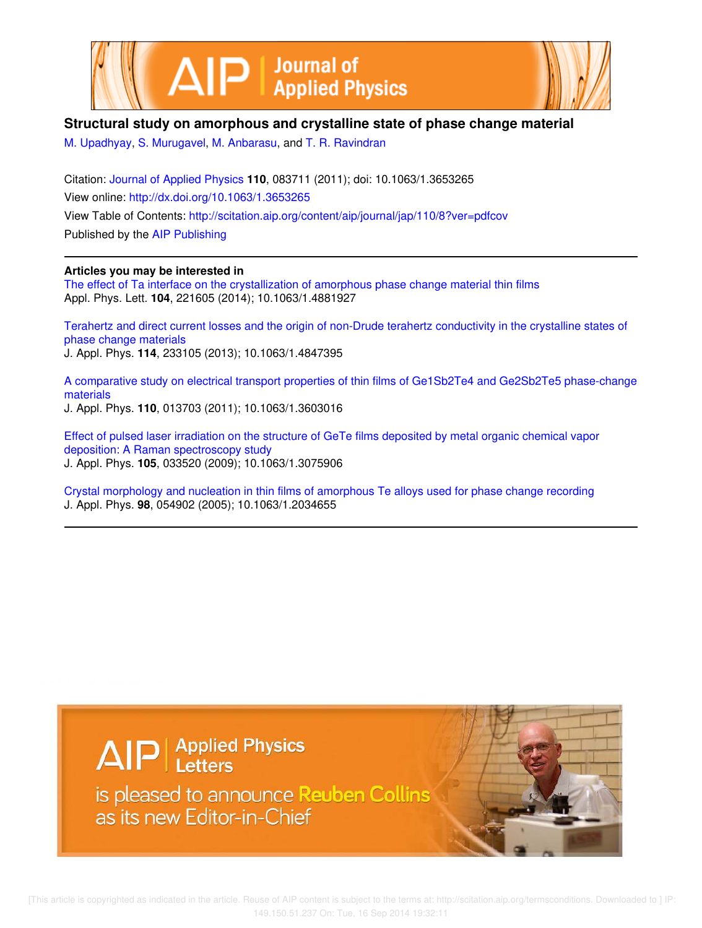



## **Structural study on amorphous and crystalline state of phase change material**

M. Upadhyay, S. Murugavel, M. Anbarasu, and T. R. Ravindran

Citation: Journal of Applied Physics **110**, 083711 (2011); doi: 10.1063/1.3653265 View online: http://dx.doi.org/10.1063/1.3653265 View Table of Contents: http://scitation.aip.org/content/aip/journal/jap/110/8?ver=pdfcov Published by the AIP Publishing

## **Articles you may be interested in**

The effect of Ta interface on the crystallization of amorphous phase change material thin films Appl. Phys. Lett. **104**, 221605 (2014); 10.1063/1.4881927

Terahertz and direct current losses and the origin of non-Drude terahertz conductivity in the crystalline states of phase change materials J. Appl. Phys. **114**, 233105 (2013); 10.1063/1.4847395

A comparative study on electrical transport properties of thin films of Ge1Sb2Te4 and Ge2Sb2Te5 phase-change materials

J. Appl. Phys. **110**, 013703 (2011); 10.1063/1.3603016

Effect of pulsed laser irradiation on the structure of GeTe films deposited by metal organic chemical vapor deposition: A Raman spectroscopy study J. Appl. Phys. **105**, 033520 (2009); 10.1063/1.3075906

Crystal morphology and nucleation in thin films of amorphous Te alloys used for phase change recording J. Appl. Phys. **98**, 054902 (2005); 10.1063/1.2034655

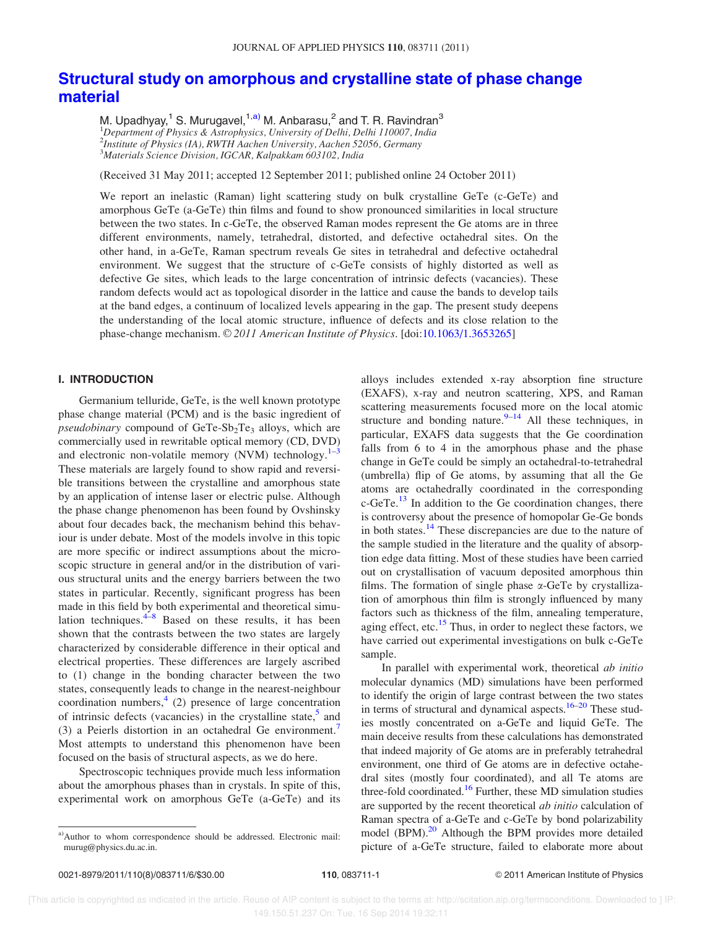# Structural study on amorphous and crystalline state of phase change material

M. Upadhyay,<sup>1</sup> S. Murugavel,<sup>1,a)</sup> M. Anbarasu,<sup>2</sup> and T. R. Ravindran<sup>3</sup> <sup>1</sup>Department of Physics & Astrophysics, University of Delhi, Delhi 110007, India 2 Institute of Physics (IA), RWTH Aachen University, Aachen 52056, Germany  $^3$ Materials Science Division, IGCAR, Kalpakkam 603102, India

(Received 31 May 2011; accepted 12 September 2011; published online 24 October 2011)

We report an inelastic (Raman) light scattering study on bulk crystalline GeTe (c-GeTe) and amorphous GeTe (a-GeTe) thin films and found to show pronounced similarities in local structure between the two states. In c-GeTe, the observed Raman modes represent the Ge atoms are in three different environments, namely, tetrahedral, distorted, and defective octahedral sites. On the other hand, in a-GeTe, Raman spectrum reveals Ge sites in tetrahedral and defective octahedral environment. We suggest that the structure of c-GeTe consists of highly distorted as well as defective Ge sites, which leads to the large concentration of intrinsic defects (vacancies). These random defects would act as topological disorder in the lattice and cause the bands to develop tails at the band edges, a continuum of localized levels appearing in the gap. The present study deepens the understanding of the local atomic structure, influence of defects and its close relation to the phase-change mechanism. © 2011 American Institute of Physics. [doi:10.1063/1.3653265]

## I. INTRODUCTION

Germanium telluride, GeTe, is the well known prototype phase change material (PCM) and is the basic ingredient of *pseudobinary* compound of  $GeTe-Sb<sub>2</sub>Te<sub>3</sub>$  alloys, which are commercially used in rewritable optical memory (CD, DVD) and electronic non-volatile memory (NVM) technology. $1-3$ These materials are largely found to show rapid and reversible transitions between the crystalline and amorphous state by an application of intense laser or electric pulse. Although the phase change phenomenon has been found by Ovshinsky about four decades back, the mechanism behind this behaviour is under debate. Most of the models involve in this topic are more specific or indirect assumptions about the microscopic structure in general and/or in the distribution of various structural units and the energy barriers between the two states in particular. Recently, significant progress has been made in this field by both experimental and theoretical simulation techniques. $4-8$  Based on these results, it has been shown that the contrasts between the two states are largely characterized by considerable difference in their optical and electrical properties. These differences are largely ascribed to (1) change in the bonding character between the two states, consequently leads to change in the nearest-neighbour  $coordination$  numbers, $4$  (2) presence of large concentration of intrinsic defects (vacancies) in the crystalline state,<sup>5</sup> and (3) a Peierls distortion in an octahedral Ge environment. Most attempts to understand this phenomenon have been focused on the basis of structural aspects, as we do here.

Spectroscopic techniques provide much less information about the amorphous phases than in crystals. In spite of this, experimental work on amorphous GeTe (a-GeTe) and its

alloys includes extended x-ray absorption fine structure (EXAFS), x-ray and neutron scattering, XPS, and Raman scattering measurements focused more on the local atomic structure and bonding nature. $9-14$  All these techniques, in particular, EXAFS data suggests that the Ge coordination falls from 6 to 4 in the amorphous phase and the phase change in GeTe could be simply an octahedral-to-tetrahedral (umbrella) flip of Ge atoms, by assuming that all the Ge atoms are octahedrally coordinated in the corresponding  $c$ -GeTe.<sup>13</sup> In addition to the Ge coordination changes, there is controversy about the presence of homopolar Ge-Ge bonds in both states.<sup>14</sup> These discrepancies are due to the nature of the sample studied in the literature and the quality of absorption edge data fitting. Most of these studies have been carried out on crystallisation of vacuum deposited amorphous thin films. The formation of single phase  $\alpha$ -GeTe by crystallization of amorphous thin film is strongly influenced by many factors such as thickness of the film, annealing temperature, aging effect, etc. $15$  Thus, in order to neglect these factors, we have carried out experimental investigations on bulk c-GeTe sample.

In parallel with experimental work, theoretical ab initio molecular dynamics (MD) simulations have been performed to identify the origin of large contrast between the two states in terms of structural and dynamical aspects. $16-20$  These studies mostly concentrated on a-GeTe and liquid GeTe. The main deceive results from these calculations has demonstrated that indeed majority of Ge atoms are in preferably tetrahedral environment, one third of Ge atoms are in defective octahedral sites (mostly four coordinated), and all Te atoms are three-fold coordinated.<sup>16</sup> Further, these MD simulation studies are supported by the recent theoretical ab initio calculation of Raman spectra of a-GeTe and c-GeTe by bond polarizability model (BPM).<sup>20</sup> Although the BPM provides more detailed picture of a-GeTe structure, failed to elaborate more about

a)Author to whom correspondence should be addressed. Electronic mail: murug@physics.du.ac.in.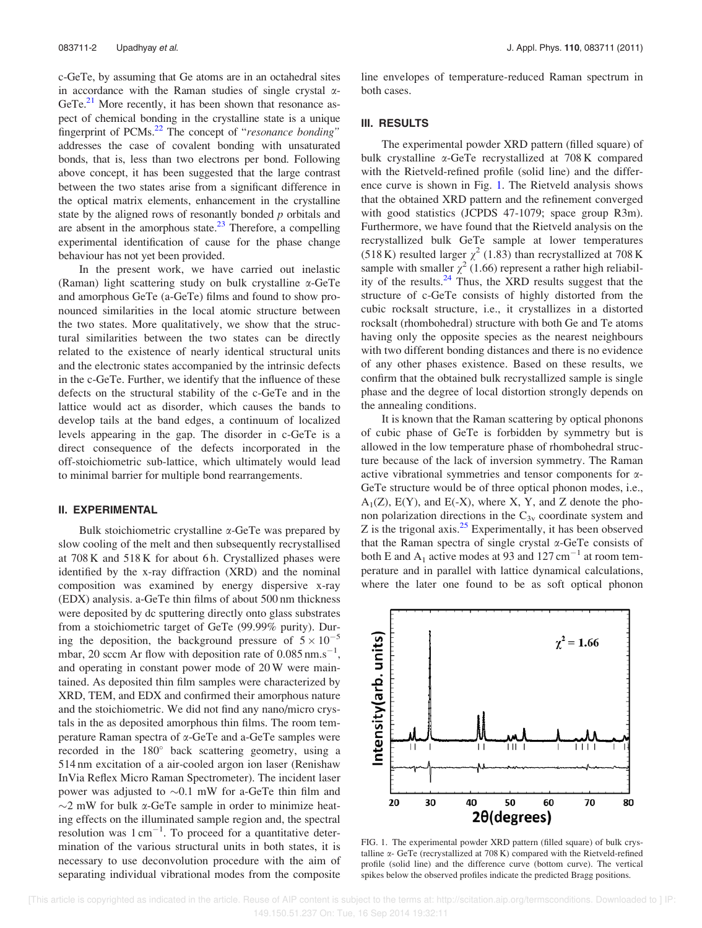c-GeTe, by assuming that Ge atoms are in an octahedral sites in accordance with the Raman studies of single crystal  $\alpha$ -GeTe. $^{21}$  More recently, it has been shown that resonance aspect of chemical bonding in the crystalline state is a unique fingerprint of PCMs. $^{22}$  The concept of "resonance bonding" addresses the case of covalent bonding with unsaturated bonds, that is, less than two electrons per bond. Following above concept, it has been suggested that the large contrast between the two states arise from a significant difference in the optical matrix elements, enhancement in the crystalline state by the aligned rows of resonantly bonded  $p$  orbitals and are absent in the amorphous state.<sup>23</sup> Therefore, a compelling experimental identification of cause for the phase change behaviour has not yet been provided.

In the present work, we have carried out inelastic (Raman) light scattering study on bulk crystalline  $\alpha$ -GeTe and amorphous GeTe (a-GeTe) films and found to show pronounced similarities in the local atomic structure between the two states. More qualitatively, we show that the structural similarities between the two states can be directly related to the existence of nearly identical structural units and the electronic states accompanied by the intrinsic defects in the c-GeTe. Further, we identify that the influence of these defects on the structural stability of the c-GeTe and in the lattice would act as disorder, which causes the bands to develop tails at the band edges, a continuum of localized levels appearing in the gap. The disorder in c-GeTe is a direct consequence of the defects incorporated in the off-stoichiometric sub-lattice, which ultimately would lead to minimal barrier for multiple bond rearrangements.

#### II. EXPERIMENTAL

Bulk stoichiometric crystalline  $\alpha$ -GeTe was prepared by slow cooling of the melt and then subsequently recrystallised at 708 K and 518 K for about 6 h. Crystallized phases were identified by the x-ray diffraction (XRD) and the nominal composition was examined by energy dispersive x-ray (EDX) analysis. a-GeTe thin films of about 500 nm thickness were deposited by dc sputtering directly onto glass substrates from a stoichiometric target of GeTe (99.99% purity). During the deposition, the background pressure of  $5 \times 10^{-5}$ mbar, 20 sccm Ar flow with deposition rate of  $0.085 \text{ nm.s}^{-1}$ , and operating in constant power mode of 20 W were maintained. As deposited thin film samples were characterized by XRD, TEM, and EDX and confirmed their amorphous nature and the stoichiometric. We did not find any nano/micro crystals in the as deposited amorphous thin films. The room temperature Raman spectra of  $\alpha$ -GeTe and a-GeTe samples were recorded in the 180° back scattering geometry, using a 514 nm excitation of a air-cooled argon ion laser (Renishaw InVia Reflex Micro Raman Spectrometer). The incident laser power was adjusted to  $\sim 0.1$  mW for a-GeTe thin film and  $\sim$ 2 mW for bulk  $\alpha$ -GeTe sample in order to minimize heating effects on the illuminated sample region and, the spectral resolution was  $1 \text{ cm}^{-1}$ . To proceed for a quantitative determination of the various structural units in both states, it is necessary to use deconvolution procedure with the aim of separating individual vibrational modes from the composite

line envelopes of temperature-reduced Raman spectrum in both cases.

#### III. RESULTS

The experimental powder XRD pattern (filled square) of bulk crystalline a-GeTe recrystallized at 708 K compared with the Rietveld-refined profile (solid line) and the difference curve is shown in Fig. 1. The Rietveld analysis shows that the obtained XRD pattern and the refinement converged with good statistics (JCPDS 47-1079; space group R3m). Furthermore, we have found that the Rietveld analysis on the recrystallized bulk GeTe sample at lower temperatures (518 K) resulted larger  $\chi^2$  (1.83) than recrystallized at 708 K sample with smaller  $\chi^2$  (1.66) represent a rather high reliability of the results.<sup>24</sup> Thus, the XRD results suggest that the structure of c-GeTe consists of highly distorted from the cubic rocksalt structure, i.e., it crystallizes in a distorted rocksalt (rhombohedral) structure with both Ge and Te atoms having only the opposite species as the nearest neighbours with two different bonding distances and there is no evidence of any other phases existence. Based on these results, we confirm that the obtained bulk recrystallized sample is single phase and the degree of local distortion strongly depends on the annealing conditions.

It is known that the Raman scattering by optical phonons of cubic phase of GeTe is forbidden by symmetry but is allowed in the low temperature phase of rhombohedral structure because of the lack of inversion symmetry. The Raman active vibrational symmetries and tensor components for a-GeTe structure would be of three optical phonon modes, i.e.,  $A_1(Z)$ ,  $E(Y)$ , and  $E(-X)$ , where X, Y, and Z denote the phonon polarization directions in the  $C_{3v}$  coordinate system and Z is the trigonal  $axis.<sup>25</sup>$  Experimentally, it has been observed that the Raman spectra of single crystal  $\alpha$ -GeTe consists of both E and  $A_1$  active modes at 93 and 127 cm<sup>-1</sup> at room temperature and in parallel with lattice dynamical calculations, where the later one found to be as soft optical phonon



FIG. 1. The experimental powder XRD pattern (filled square) of bulk crystalline a- GeTe (recrystallized at 708 K) compared with the Rietveld-refined profile (solid line) and the difference curve (bottom curve). The vertical spikes below the observed profiles indicate the predicted Bragg positions.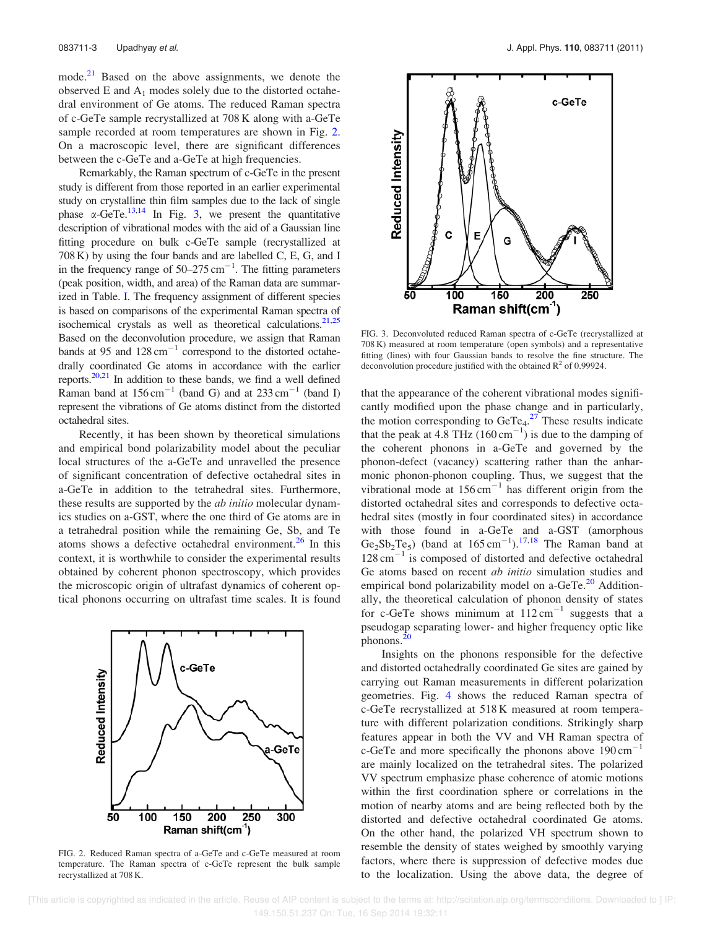mode.<sup>21</sup> Based on the above assignments, we denote the observed E and  $A_1$  modes solely due to the distorted octahedral environment of Ge atoms. The reduced Raman spectra of c-GeTe sample recrystallized at 708 K along with a-GeTe sample recorded at room temperatures are shown in Fig. 2. On a macroscopic level, there are significant differences between the c-GeTe and a-GeTe at high frequencies.

Remarkably, the Raman spectrum of c-GeTe in the present study is different from those reported in an earlier experimental study on crystalline thin film samples due to the lack of single phase  $\alpha$ -GeTe.<sup>13,14</sup> In Fig. 3, we present the quantitative description of vibrational modes with the aid of a Gaussian line fitting procedure on bulk c-GeTe sample (recrystallized at 708 K) by using the four bands and are labelled C, E, G, and I in the frequency range of  $50-275 \text{ cm}^{-1}$ . The fitting parameters (peak position, width, and area) of the Raman data are summarized in Table. I. The frequency assignment of different species is based on comparisons of the experimental Raman spectra of isochemical crystals as well as theoretical calculations. $21,25$ Based on the deconvolution procedure, we assign that Raman bands at 95 and  $128 \text{ cm}^{-1}$  correspond to the distorted octahedrally coordinated Ge atoms in accordance with the earlier reports.20,21 In addition to these bands, we find a well defined Raman band at  $156 \text{ cm}^{-1}$  (band G) and at  $233 \text{ cm}^{-1}$  (band I) represent the vibrations of Ge atoms distinct from the distorted octahedral sites.

Recently, it has been shown by theoretical simulations and empirical bond polarizability model about the peculiar local structures of the a-GeTe and unravelled the presence of significant concentration of defective octahedral sites in a-GeTe in addition to the tetrahedral sites. Furthermore, these results are supported by the *ab initio* molecular dynamics studies on a-GST, where the one third of Ge atoms are in a tetrahedral position while the remaining Ge, Sb, and Te atoms shows a defective octahedral environment.<sup>26</sup> In this context, it is worthwhile to consider the experimental results obtained by coherent phonon spectroscopy, which provides the microscopic origin of ultrafast dynamics of coherent optical phonons occurring on ultrafast time scales. It is found



FIG. 2. Reduced Raman spectra of a-GeTe and c-GeTe measured at room temperature. The Raman spectra of c-GeTe represent the bulk sample recrystallized at 708 K.



FIG. 3. Deconvoluted reduced Raman spectra of c-GeTe (recrystallized at 708 K) measured at room temperature (open symbols) and a representative fitting (lines) with four Gaussian bands to resolve the fine structure. The deconvolution procedure justified with the obtained  $R^2$  of 0.99924.

that the appearance of the coherent vibrational modes significantly modified upon the phase change and in particularly, the motion corresponding to  $GeTe_4$ .<sup>27</sup> These results indicate that the peak at 4.8 THz  $(160 \text{ cm}^{-1})$  is due to the damping of the coherent phonons in a-GeTe and governed by the phonon-defect (vacancy) scattering rather than the anharmonic phonon-phonon coupling. Thus, we suggest that the vibrational mode at  $156 \text{ cm}^{-1}$  has different origin from the distorted octahedral sites and corresponds to defective octahedral sites (mostly in four coordinated sites) in accordance with those found in a-GeTe and a-GST (amorphous  $Ge_2Sb_2Te_5$ ) (band at  $165 \text{ cm}^{-1}$ ).<sup>17,18</sup> The Raman band at  $128 \text{ cm}^{-1}$  is composed of distorted and defective octahedral Ge atoms based on recent ab initio simulation studies and empirical bond polarizability model on a-GeTe.<sup>20</sup> Additionally, the theoretical calculation of phonon density of states for c-GeTe shows minimum at  $112 \text{ cm}^{-1}$  suggests that a pseudogap separating lower- and higher frequency optic like phonons.<sup>20</sup>

Insights on the phonons responsible for the defective and distorted octahedrally coordinated Ge sites are gained by carrying out Raman measurements in different polarization geometries. Fig. 4 shows the reduced Raman spectra of c-GeTe recrystallized at 518 K measured at room temperature with different polarization conditions. Strikingly sharp features appear in both the VV and VH Raman spectra of c-GeTe and more specifically the phonons above  $190 \text{ cm}^{-1}$ are mainly localized on the tetrahedral sites. The polarized VV spectrum emphasize phase coherence of atomic motions within the first coordination sphere or correlations in the motion of nearby atoms and are being reflected both by the distorted and defective octahedral coordinated Ge atoms. On the other hand, the polarized VH spectrum shown to resemble the density of states weighed by smoothly varying factors, where there is suppression of defective modes due to the localization. Using the above data, the degree of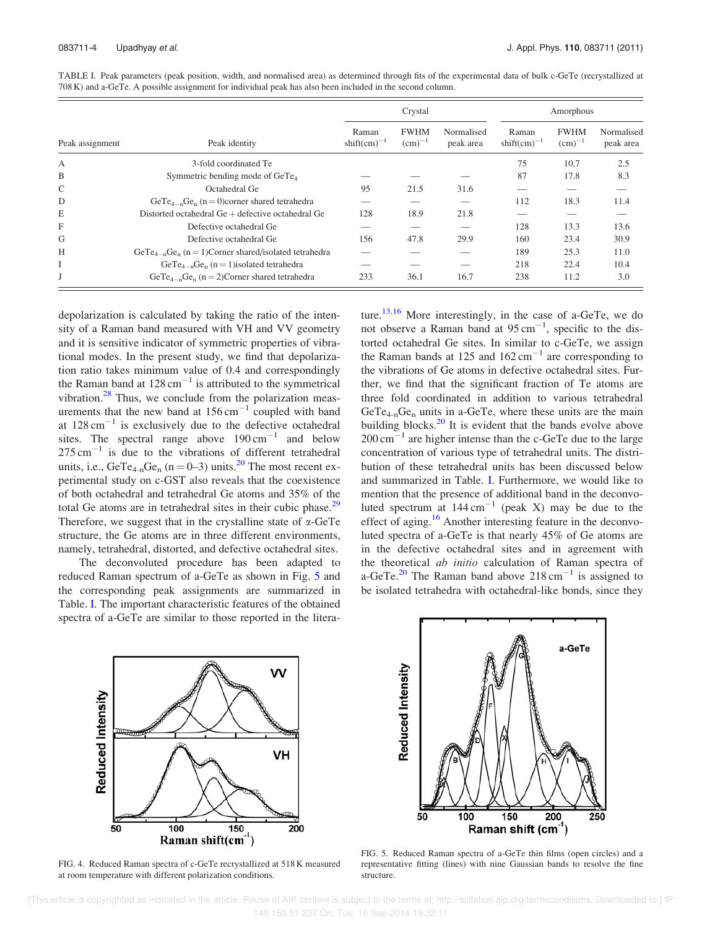| Peak assignment | Peak identity                                                       | Crystal                          |                                   |                         | Amorphous                 |                                   |                         |
|-----------------|---------------------------------------------------------------------|----------------------------------|-----------------------------------|-------------------------|---------------------------|-----------------------------------|-------------------------|
|                 |                                                                     | Raman<br>$\text{shift}(cm)^{-1}$ | <b>FWHM</b><br>$\text{(cm)}^{-1}$ | Normalised<br>peak area | Raman<br>$shift(cm)^{-1}$ | <b>FWHM</b><br>$\text{(cm)}^{-1}$ | Normalised<br>peak area |
| А               | 3-fold coordinated Te                                               |                                  |                                   |                         | 75                        | 10.7                              | 2.5                     |
| B               | Symmetric bending mode of $GeTe_4$                                  |                                  |                                   |                         | 87                        | 17.8                              | 8.3                     |
| C               | Octahedral Ge                                                       | 95                               | 21.5                              | 31.6                    |                           |                                   |                         |
| D               | $GeTe_{4-n}Ge_n$ (n = 0)corner shared tetrahedra                    |                                  |                                   |                         | 112                       | 18.3                              | 11.4                    |
| E               | Distorted octahedral $Ge +$ defective octahedral $Ge$               | 128                              | 18.9                              | 21.8                    |                           |                                   |                         |
| F               | Defective octahedral Ge                                             |                                  |                                   |                         | 128                       | 13.3                              | 13.6                    |
| G               | Defective octahedral Ge                                             | 156                              | 47.8                              | 29.9                    | 160                       | 23.4                              | 30.9                    |
| Н               | $GeTe_{4-n}Ge_n$ (n = 1)Corner shared/isolated tetrahedra           |                                  |                                   |                         | 189                       | 25.3                              | 11.0                    |
|                 | GeTe <sub>4-n</sub> Ge <sub>n</sub> $(n=1)$ isolated tetrahedra     |                                  |                                   |                         | 218                       | 22.4                              | 10.4                    |
|                 | GeTe <sub>4-n</sub> Ge <sub>n</sub> (n = 2)Corner shared tetrahedra | 233                              | 36.1                              | 16.7                    | 238                       | 11.2                              | 3.0                     |

TABLE I. Peak parameters (peak position, width, and normalised area) as determined through fits of the experimental data of bulk c-GeTe (recrystallized at 708 K) and a-GeTe. A possible assignment for individual peak has also been included in the second column.

depolarization is calculated by taking the ratio of the intensity of a Raman band measured with VH and VV geometry and it is sensitive indicator of symmetric properties of vibrational modes. In the present study, we find that depolarization ratio takes minimum value of 0.4 and correspondingly the Raman band at  $128 \text{ cm}^{-1}$  is attributed to the symmetrical vibration. $^{28}$  Thus, we conclude from the polarization measurements that the new band at  $156 \text{ cm}^{-1}$  coupled with band at  $128 \text{ cm}^{-1}$  is exclusively due to the defective octahedral sites. The spectral range above  $190 \text{ cm}^{-1}$  and below  $275 \text{ cm}^{-1}$  is due to the vibrations of different tetrahedral units, i.e.,  $GeTe_{4-n}Ge_n$  (n = 0–3) units.<sup>20</sup> The most recent experimental study on c-GST also reveals that the coexistence of both octahedral and tetrahedral Ge atoms and 35% of the total Ge atoms are in tetrahedral sites in their cubic phase.<sup>29</sup> Therefore, we suggest that in the crystalline state of  $\alpha$ -GeTe structure, the Ge atoms are in three different environments, namely, tetrahedral, distorted, and defective octahedral sites.

The deconvoluted procedure has been adapted to reduced Raman spectrum of a-GeTe as shown in Fig. 5 and the corresponding peak assignments are summarized in Table. I. The important characteristic features of the obtained spectra of a-GeTe are similar to those reported in the literature.<sup>13,16</sup> More interestingly, in the case of a-GeTe, we do not observe a Raman band at  $95 \text{ cm}^{-1}$ , specific to the distorted octahedral Ge sites. In similar to c-GeTe, we assign the Raman bands at 125 and  $162 \text{ cm}^{-1}$  are corresponding to the vibrations of Ge atoms in defective octahedral sites. Further, we find that the significant fraction of Te atoms are three fold coordinated in addition to various tetrahedral  $GeTe_{4-n}Ge_n$  units in a-GeTe, where these units are the main building blocks. $^{20}$  It is evident that the bands evolve above  $200 \text{ cm}^{-1}$  are higher intense than the c-GeTe due to the large concentration of various type of tetrahedral units. The distribution of these tetrahedral units has been discussed below and summarized in Table. I. Furthermore, we would like to mention that the presence of additional band in the deconvoluted spectrum at  $144 \text{ cm}^{-1}$  (peak X) may be due to the effect of aging.<sup>16</sup> Another interesting feature in the deconvoluted spectra of a-GeTe is that nearly 45% of Ge atoms are in the defective octahedral sites and in agreement with the theoretical ab initio calculation of Raman spectra of a-GeTe.<sup>20</sup> The Raman band above  $218 \text{ cm}^{-1}$  is assigned to be isolated tetrahedra with octahedral-like bonds, since they



FIG. 4. Reduced Raman spectra of c-GeTe recrystallized at 518 K measured at room temperature with different polarization conditions.



FIG. 5. Reduced Raman spectra of a-GeTe thin films (open circles) and a representative fitting (lines) with nine Gaussian bands to resolve the fine structure.

 [This article is copyrighted as indicated in the article. Reuse of AIP content is subject to the terms at: http://scitation.aip.org/termsconditions. Downloaded to ] IP: 149.150.51.237 On: Tue, 16 Sep 2014 19:32:11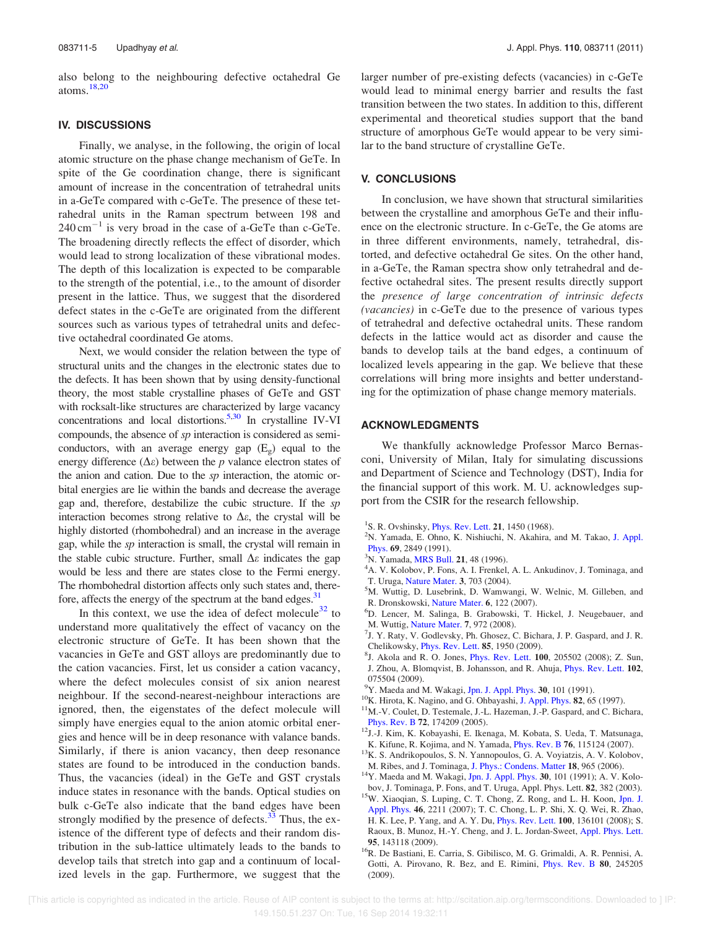also belong to the neighbouring defective octahedral Ge atoms.18,20

### IV. DISCUSSIONS

Finally, we analyse, in the following, the origin of local atomic structure on the phase change mechanism of GeTe. In spite of the Ge coordination change, there is significant amount of increase in the concentration of tetrahedral units in a-GeTe compared with c-GeTe. The presence of these tetrahedral units in the Raman spectrum between 198 and  $240 \text{ cm}^{-1}$  is very broad in the case of a-GeTe than c-GeTe. The broadening directly reflects the effect of disorder, which would lead to strong localization of these vibrational modes. The depth of this localization is expected to be comparable to the strength of the potential, i.e., to the amount of disorder present in the lattice. Thus, we suggest that the disordered defect states in the c-GeTe are originated from the different sources such as various types of tetrahedral units and defective octahedral coordinated Ge atoms.

Next, we would consider the relation between the type of structural units and the changes in the electronic states due to the defects. It has been shown that by using density-functional theory, the most stable crystalline phases of GeTe and GST with rocksalt-like structures are characterized by large vacancy concentrations and local distortions.<sup>5,30</sup> In crystalline IV-VI compounds, the absence of sp interaction is considered as semiconductors, with an average energy gap  $(E_g)$  equal to the energy difference  $(\Delta \varepsilon)$  between the p valance electron states of the anion and cation. Due to the sp interaction, the atomic orbital energies are lie within the bands and decrease the average gap and, therefore, destabilize the cubic structure. If the sp interaction becomes strong relative to  $\Delta \varepsilon$ , the crystal will be highly distorted (rhombohedral) and an increase in the average gap, while the sp interaction is small, the crystal will remain in the stable cubic structure. Further, small  $\Delta \varepsilon$  indicates the gap would be less and there are states close to the Fermi energy. The rhombohedral distortion affects only such states and, therefore, affects the energy of the spectrum at the band edges.<sup>31</sup>

In this context, we use the idea of defect molecule<sup>32</sup> to understand more qualitatively the effect of vacancy on the electronic structure of GeTe. It has been shown that the vacancies in GeTe and GST alloys are predominantly due to the cation vacancies. First, let us consider a cation vacancy, where the defect molecules consist of six anion nearest neighbour. If the second-nearest-neighbour interactions are ignored, then, the eigenstates of the defect molecule will simply have energies equal to the anion atomic orbital energies and hence will be in deep resonance with valance bands. Similarly, if there is anion vacancy, then deep resonance states are found to be introduced in the conduction bands. Thus, the vacancies (ideal) in the GeTe and GST crystals induce states in resonance with the bands. Optical studies on bulk c-GeTe also indicate that the band edges have been strongly modified by the presence of defects. $3\overline{3}$  Thus, the existence of the different type of defects and their random distribution in the sub-lattice ultimately leads to the bands to develop tails that stretch into gap and a continuum of localized levels in the gap. Furthermore, we suggest that the larger number of pre-existing defects (vacancies) in c-GeTe would lead to minimal energy barrier and results the fast transition between the two states. In addition to this, different experimental and theoretical studies support that the band structure of amorphous GeTe would appear to be very similar to the band structure of crystalline GeTe.

#### V. CONCLUSIONS

In conclusion, we have shown that structural similarities between the crystalline and amorphous GeTe and their influence on the electronic structure. In c-GeTe, the Ge atoms are in three different environments, namely, tetrahedral, distorted, and defective octahedral Ge sites. On the other hand, in a-GeTe, the Raman spectra show only tetrahedral and defective octahedral sites. The present results directly support the presence of large concentration of intrinsic defects (vacancies) in c-GeTe due to the presence of various types of tetrahedral and defective octahedral units. These random defects in the lattice would act as disorder and cause the bands to develop tails at the band edges, a continuum of localized levels appearing in the gap. We believe that these correlations will bring more insights and better understanding for the optimization of phase change memory materials.

#### ACKNOWLEDGMENTS

We thankfully acknowledge Professor Marco Bernasconi, University of Milan, Italy for simulating discussions and Department of Science and Technology (DST), India for the financial support of this work. M. U. acknowledges support from the CSIR for the research fellowship.

- <sup>1</sup>S. R. Ovshinsky, *Phys. Rev. Lett.* **21**, 1450 (1968).
- <sup>2</sup>N. Yamada, E. Ohno, K. Nishiuchi, N. Akahira, and M. Takao, J. Appl. Phys. 69, 2849 (1991).
- <sup>3</sup>N. Yamada, MRS Bull. **21**, 48 (1996).
- <sup>4</sup>A. V. Kolobov, P. Fons, A. I. Frenkel, A. L. Ankudinov, J. Tominaga, and T. Uruga, Nature Mater. 3, 703 (2004).
- <sup>5</sup>M. Wuttig, D. Lusebrink, D. Wamwangi, W. Welnic, M. Gilleben, and R. Dronskowski, Nature Mater. 6, 122 (2007).
- <sup>6</sup>D. Lencer, M. Salinga, B. Grabowski, T. Hickel, J. Neugebauer, and M. Wuttig, Nature Mater. 7, 972 (2008).
- 7 J. Y. Raty, V. Godlevsky, Ph. Ghosez, C. Bichara, J. P. Gaspard, and J. R. Chelikowsky, Phys. Rev. Lett. 85, 1950 (2009).
- 8 J. Akola and R. O. Jones, Phys. Rev. Lett. 100, 205502 (2008); Z. Sun, J. Zhou, A. Blomqvist, B. Johansson, and R. Ahuja, Phys. Rev. Lett. 102, 075504 (2009).
- $9Y$ . Maeda and M. Wakagi, Jpn. J. Appl. Phys. 30, 101 (1991).
- <sup>10</sup>K. Hirota, K. Nagino, and G. Ohbayashi, J. Appl. Phys. **82**, 65 (1997).
- <sup>11</sup>M.-V. Coulet, D. Testemale, J.-L. Hazeman, J.-P. Gaspard, and C. Bichara, Phys. Rev. B 72, 174209 (2005).
- <sup>12</sup>J.-J. Kim, K. Kobayashi, E. Ikenaga, M. Kobata, S. Ueda, T. Matsunaga, K. Kifune, R. Kojima, and N. Yamada, Phys. Rev. B 76, 115124 (2007).
- <sup>13</sup>K. S. Andrikopoulos, S. N. Yannopoulos, G. A. Voyiatzis, A. V. Kolobov, M. Ribes, and J. Tominaga, J. Phys.: Condens. Matter 18, 965 (2006).
- <sup>14</sup>Y. Maeda and M. Wakagi, Jpn. J. Appl. Phys. 30, 101 (1991); A. V. Kolobov, J. Tominaga, P. Fons, and T. Uruga, Appl. Phys. Lett. 82, 382 (2003).
- <sup>15</sup>W. Xiaoqian, S. Luping, C. T. Chong, Z. Rong, and L. H. Koon, Jpn. J. Appl. Phys. 46, 2211 (2007); T. C. Chong, L. P. Shi, X. Q. Wei, R. Zhao, H. K. Lee, P. Yang, and A. Y. Du, Phys. Rev. Lett. 100, 136101 (2008); S. Raoux, B. Munoz, H.-Y. Cheng, and J. L. Jordan-Sweet, Appl. Phys. Lett. 95, 143118 (2009).
- <sup>16</sup>R. De Bastiani, E. Carria, S. Gibilisco, M. G. Grimaldi, A. R. Pennisi, A. Gotti, A. Pirovano, R. Bez, and E. Rimini, Phys. Rev. B 80, 245205 (2009).